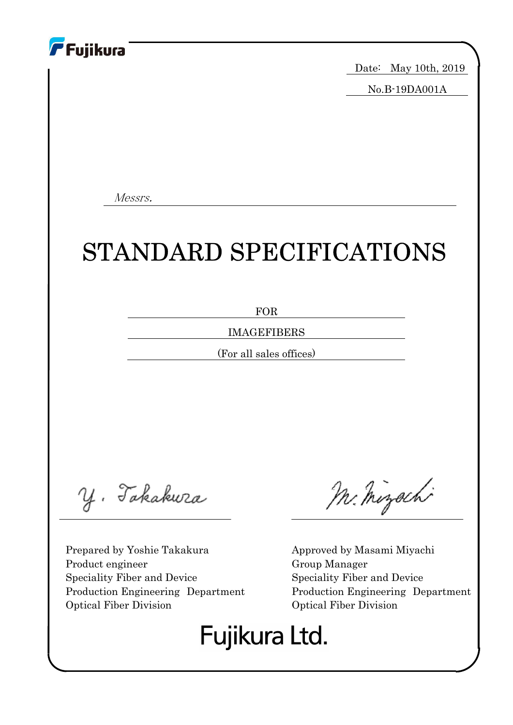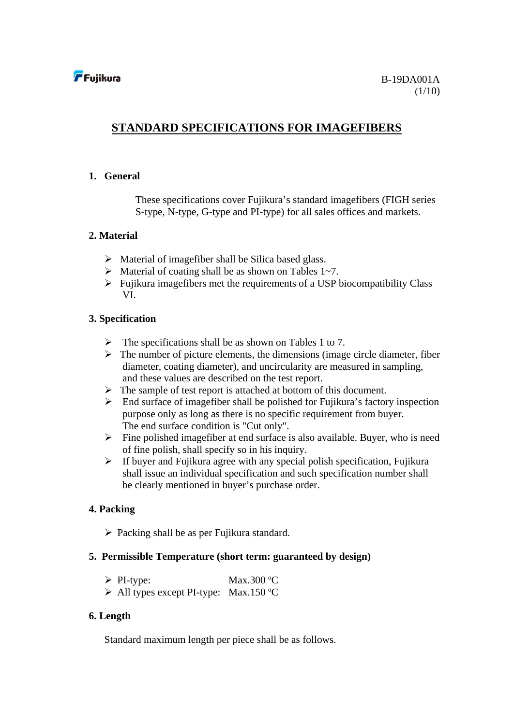### **STANDARD SPECIFICATIONS FOR IMAGEFIBERS**

#### **1. General**

These specifications cover Fujikura's standard imagefibers (FIGH series S-type, N-type, G-type and PI-type) for all sales offices and markets.

### **2. Material**

- $\triangleright$  Material of imagefiber shall be Silica based glass.
- $\triangleright$  Material of coating shall be as shown on Tables 1~7.
- $\triangleright$  Fujikura imagefibers met the requirements of a USP biocompatibility Class VI.

### **3. Specification**

- $\triangleright$  The specifications shall be as shown on Tables 1 to 7.
- $\triangleright$  The number of picture elements, the dimensions (image circle diameter, fiber diameter, coating diameter), and uncircularity are measured in sampling, and these values are described on the test report.
- $\triangleright$  The sample of test report is attached at bottom of this document.
- $\triangleright$  End surface of imagefiber shall be polished for Fujikura's factory inspection purpose only as long as there is no specific requirement from buyer. The end surface condition is "Cut only".
- $\triangleright$  Fine polished imagefiber at end surface is also available. Buyer, who is need of fine polish, shall specify so in his inquiry.
- $\triangleright$  If buyer and Fujikura agree with any special polish specification, Fujikura shall issue an individual specification and such specification number shall be clearly mentioned in buyer's purchase order.

### **4. Packing**

 $\triangleright$  Packing shall be as per Fujikura standard.

#### **5. Permissible Temperature (short term: guaranteed by design)**

- $\triangleright$  PI-type: Max.300 °C
- $\triangleright$  All types except PI-type: Max.150 °C

#### **6. Length**

Standard maximum length per piece shall be as follows.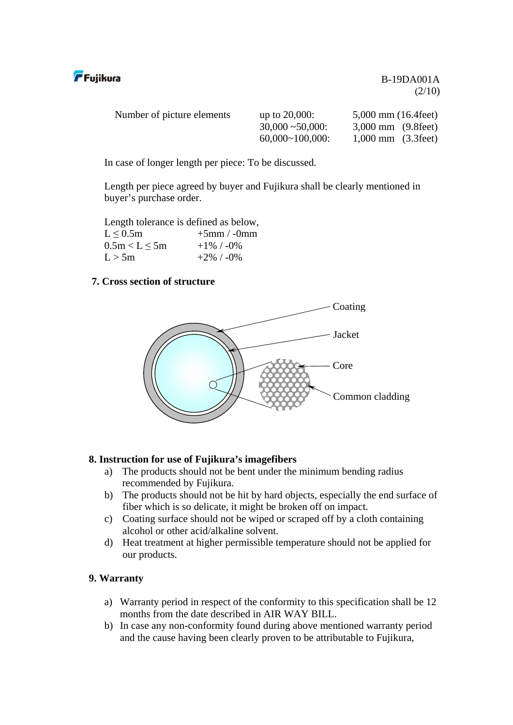

| Number of picture elements | up to $20,000$ :    | $5,000$ mm $(16.4 \text{ feet})$ |
|----------------------------|---------------------|----------------------------------|
|                            | $30,000 - 50,000$ : | $3,000$ mm $(9.8$ feet)          |
|                            | $60,000~100,000$ :  | $1,000 \text{ mm}$ (3.3 feet)    |

In case of longer length per piece: To be discussed.

Length per piece agreed by buyer and Fujikura shall be clearly mentioned in buyer's purchase order.

Length tolerance is defined as below,  $L < 0.5$ m  $+5$ mm / -0mm  $0.5m < L \le 5m$  +1% / -0%  $L > 5m$  +2% / -0%

### **7. Cross section of structure**



### **8. Instruction for use of Fujikura's imagefibers**

- a) The products should not be bent under the minimum bending radius recommended by Fujikura.
- b) The products should not be hit by hard objects, especially the end surface of fiber which is so delicate, it might be broken off on impact.
- c) Coating surface should not be wiped or scraped off by a cloth containing alcohol or other acid/alkaline solvent.
- d) Heat treatment at higher permissible temperature should not be applied for our products.

#### **9. Warranty**

- a) Warranty period in respect of the conformity to this specification shall be 12 months from the date described in AIR WAY BILL.
- b) In case any non-conformity found during above mentioned warranty period and the cause having been clearly proven to be attributable to Fujikura,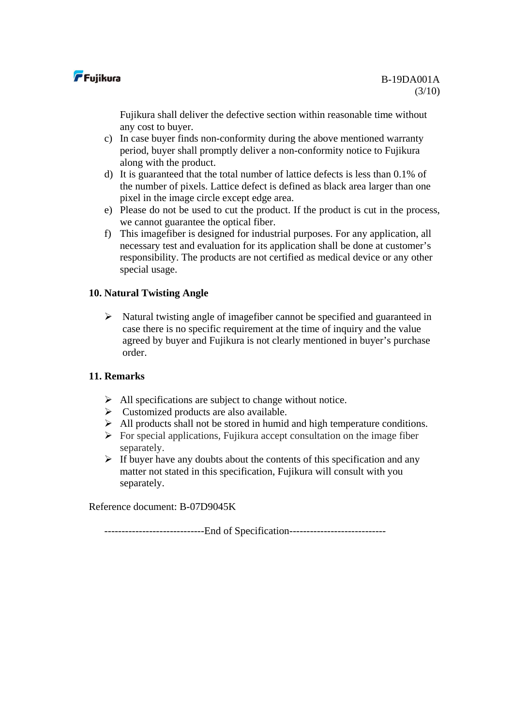

Fujikura shall deliver the defective section within reasonable time without any cost to buyer.

- c) In case buyer finds non-conformity during the above mentioned warranty period, buyer shall promptly deliver a non-conformity notice to Fujikura along with the product.
- d) It is guaranteed that the total number of lattice defects is less than 0.1% of the number of pixels. Lattice defect is defined as black area larger than one pixel in the image circle except edge area.
- e) Please do not be used to cut the product. If the product is cut in the process, we cannot guarantee the optical fiber.
- f) This imagefiber is designed for industrial purposes. For any application, all necessary test and evaluation for its application shall be done at customer's responsibility. The products are not certified as medical device or any other special usage.

### **10. Natural Twisting Angle**

 $\triangleright$  Natural twisting angle of imagefiber cannot be specified and guaranteed in case there is no specific requirement at the time of inquiry and the value agreed by buyer and Fujikura is not clearly mentioned in buyer's purchase order.

#### **11. Remarks**

- $\triangleright$  All specifications are subject to change without notice.
- $\triangleright$  Customized products are also available.
- $\triangleright$  All products shall not be stored in humid and high temperature conditions.
- $\triangleright$  For special applications, Fujikura accept consultation on the image fiber separately.
- $\triangleright$  If buyer have any doubts about the contents of this specification and any matter not stated in this specification, Fujikura will consult with you separately.

Reference document: B-07D9045K

-----------------------------End of Specification----------------------------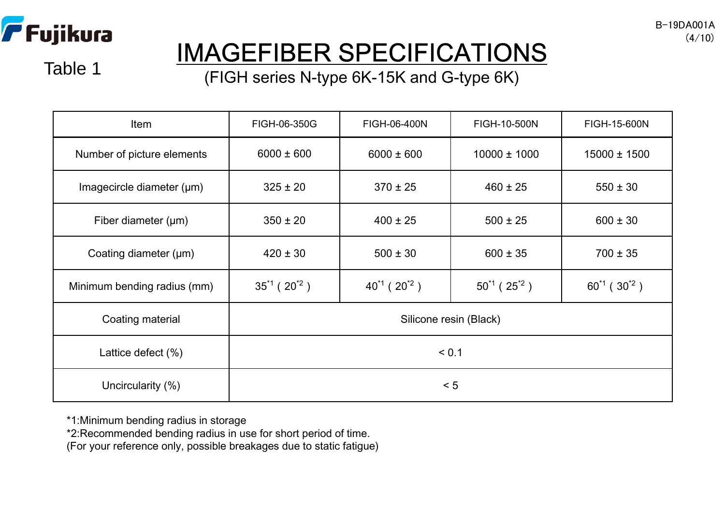

# IMAGEFIBER SPECIFICATIONS

Table 1

(FIGH series N-type 6K-15K and G-type 6K)

| Item                           | FIGH-06-350G           | FIGH-06-400N          | FIGH-10-500N          | FIGH-15-600N          |  |  |
|--------------------------------|------------------------|-----------------------|-----------------------|-----------------------|--|--|
| Number of picture elements     | $6000 \pm 600$         | $6000 \pm 600$        | $10000 \pm 1000$      | $15000 \pm 1500$      |  |  |
| Imagecircle diameter $(\mu m)$ | $325 \pm 20$           | $370 \pm 25$          | $460 \pm 25$          | $550 \pm 30$          |  |  |
| Fiber diameter $(\mu m)$       | $350 \pm 20$           | $400 \pm 25$          | $500 \pm 25$          | $600 \pm 30$          |  |  |
| Coating diameter $(\mu m)$     | $420 \pm 30$           | $500 \pm 30$          | $600 \pm 35$          | $700 \pm 35$          |  |  |
| Minimum bending radius (mm)    | $35^{1}$ ( $20^{2}$ )  | $40^{1}$ ( $20^{2}$ ) | $50^{1}$ ( $25^{2}$ ) | $60^{1}$ ( $30^{2}$ ) |  |  |
| Coating material               | Silicone resin (Black) |                       |                       |                       |  |  |
| Lattice defect $(\%)$          | < 0.1                  |                       |                       |                       |  |  |
| Uncircularity (%)              | < 5                    |                       |                       |                       |  |  |

\*1:Minimum bending radius in storage

\*2:Recommended bending radius in use for short period of time.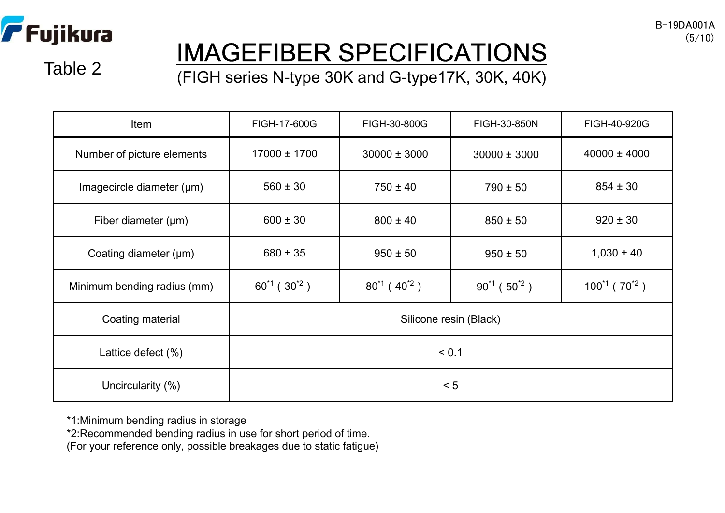

# IMAGEFIBER SPECIFICATIONS

Table 2

(FIGH series N-type 30K and G-type17K, 30K, 40K)

| Item                           | FIGH-17-600G           | FIGH-30-800G                | FIGH-30-850N<br>FIGH-40-920G |                        |  |  |
|--------------------------------|------------------------|-----------------------------|------------------------------|------------------------|--|--|
| Number of picture elements     | 17000 ± 1700           | $30000 \pm 3000$            | $30000 \pm 3000$             | $40000 \pm 4000$       |  |  |
| Imagecircle diameter $(\mu m)$ | $560 \pm 30$           | $750 \pm 40$                | $790 \pm 50$                 | $854 \pm 30$           |  |  |
| Fiber diameter $(\mu m)$       | $600 \pm 30$           | $800 \pm 40$                | $850 \pm 50$                 | $920 \pm 30$           |  |  |
| Coating diameter (µm)          | $680 \pm 35$           | $950 \pm 50$                | $950 \pm 50$                 | $1,030 \pm 40$         |  |  |
| Minimum bending radius (mm)    | $60^{1}$ ( $30^{2}$ )  | $80^{1}$ (40 <sup>2</sup> ) | $90^{1}$ ( $50^{2}$ )        | $100^{1}$ ( $70^{2}$ ) |  |  |
| Coating material               | Silicone resin (Black) |                             |                              |                        |  |  |
| Lattice defect $(\%)$          | < 0.1                  |                             |                              |                        |  |  |
| Uncircularity (%)              | < 5                    |                             |                              |                        |  |  |

\*1:Minimum bending radius in storage

\*2:Recommended bending radius in use for short period of time.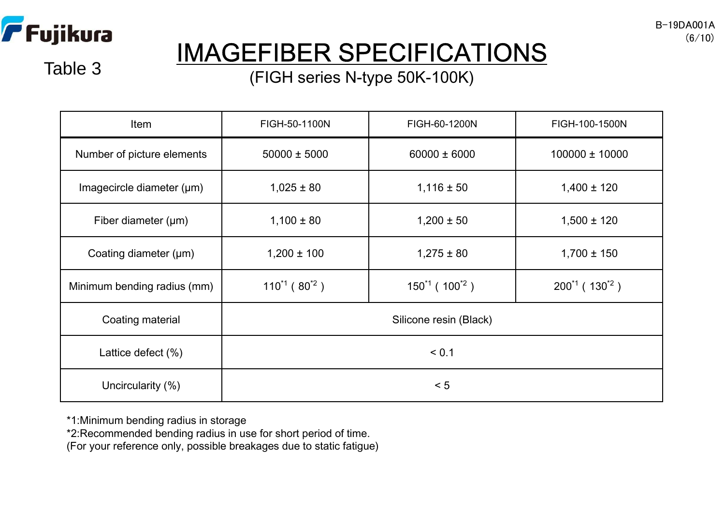

Table 3

# IMAGEFIBER SPECIFICATIONS

(FIGH series N-type 50K-100K)

| Item                        | FIGH-50-1100N        | FIGH-60-1200N                      |                         |  |  |  |  |
|-----------------------------|----------------------|------------------------------------|-------------------------|--|--|--|--|
| Number of picture elements  | $50000 \pm 5000$     | $60000 \pm 6000$<br>100000 ± 10000 |                         |  |  |  |  |
| Imagecircle diameter (µm)   | $1,025 \pm 80$       | $1,116 \pm 50$                     | $1,400 \pm 120$         |  |  |  |  |
| Fiber diameter $(\mu m)$    | $1,100 \pm 80$       | $1,200 \pm 50$                     | $1,500 \pm 120$         |  |  |  |  |
| Coating diameter (µm)       | $1,200 \pm 100$      | $1,275 \pm 80$                     | $1,700 \pm 150$         |  |  |  |  |
| Minimum bending radius (mm) | $110^{11} (80^{12})$ | $150^{1}$ ( $100^{2}$ )            | $200^{1}$ ( $130^{2}$ ) |  |  |  |  |
| Coating material            |                      | Silicone resin (Black)             |                         |  |  |  |  |
| Lattice defect $(\%)$       | < 0.1                |                                    |                         |  |  |  |  |
| Uncircularity (%)           | < 5                  |                                    |                         |  |  |  |  |

\*1:Minimum bending radius in storage

\*2:Recommended bending radius in use for short period of time.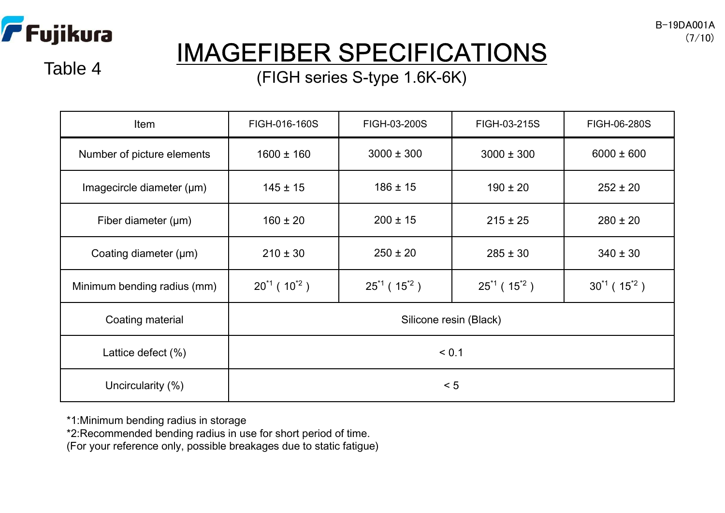

Table 4

# IMAGEFIBER SPECIFICATIONS

(FIGH series S-type 1.6K-6K)

| Item                           | FIGH-016-160S               | FIGH-03-200S                                               | FIGH-03-215S   | FIGH-06-280S          |  |  |
|--------------------------------|-----------------------------|------------------------------------------------------------|----------------|-----------------------|--|--|
| Number of picture elements     | $1600 \pm 160$              | $3000 \pm 300$                                             | $3000 \pm 300$ | $6000 \pm 600$        |  |  |
| Imagecircle diameter $(\mu m)$ | $145 \pm 15$                | $186 \pm 15$                                               | $190 \pm 20$   | $252 \pm 20$          |  |  |
| Fiber diameter $(\mu m)$       | $160 \pm 20$                | $200 \pm 15$                                               | $215 \pm 25$   | $280 \pm 20$          |  |  |
| Coating diameter $(\mu m)$     | $210 \pm 30$                | $250 \pm 20$                                               | $285 \pm 30$   | $340 \pm 30$          |  |  |
| Minimum bending radius (mm)    | $20^{1}$ (10 <sup>2</sup> ) | $25^{1}$ (15 <sup>2</sup> )<br>$25^{1}$ (15 <sup>2</sup> ) |                | $30^{1}$ ( $15^{2}$ ) |  |  |
| Coating material               | Silicone resin (Black)      |                                                            |                |                       |  |  |
| Lattice defect (%)             | < 0.1                       |                                                            |                |                       |  |  |
| Uncircularity (%)              | < 5                         |                                                            |                |                       |  |  |

\*1:Minimum bending radius in storage

\*2:Recommended bending radius in use for short period of time.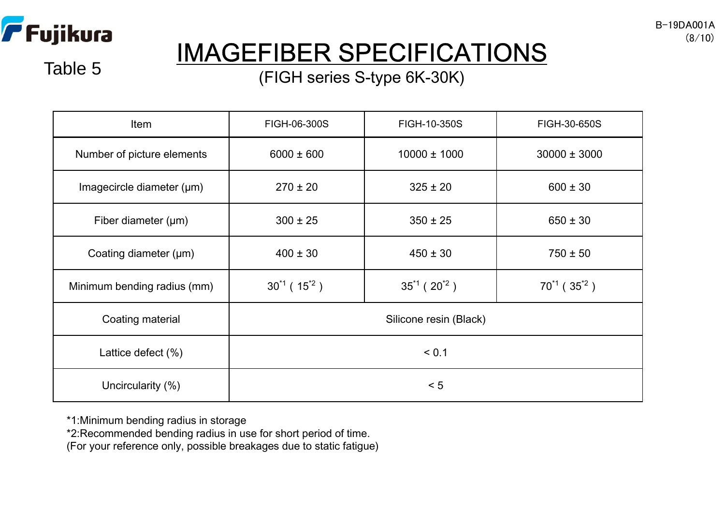

Table 5

# IMAGEFIBER SPECIFICATIONS

### (FIGH series S-type 6K-30K)

| Item                        | FIGH-06-300S                | FIGH-10-350S                 | FIGH-30-650S                             |  |  |  |
|-----------------------------|-----------------------------|------------------------------|------------------------------------------|--|--|--|
| Number of picture elements  | $6000 \pm 600$              | $10000 \pm 1000$             | $30000 \pm 3000$                         |  |  |  |
| Imagecircle diameter (µm)   | $270 \pm 20$                | $325 \pm 20$<br>$600 \pm 30$ |                                          |  |  |  |
| Fiber diameter $(\mu m)$    | $300 \pm 25$                | $350 \pm 25$                 | $650 \pm 30$                             |  |  |  |
| Coating diameter $(\mu m)$  | $400 \pm 30$                | $450 \pm 30$                 | $750 \pm 50$                             |  |  |  |
| Minimum bending radius (mm) | $30^{1}$ (15 <sup>2</sup> ) | $35^{1}$ ( $20^{2}$ )        | $70^{1}$ (35 <sup><math>2</math></sup> ) |  |  |  |
| Coating material            |                             | Silicone resin (Black)       |                                          |  |  |  |
| Lattice defect (%)          | < 0.1                       |                              |                                          |  |  |  |
| Uncircularity (%)           | < 5                         |                              |                                          |  |  |  |

\*1:Minimum bending radius in storage

\*2:Recommended bending radius in use for short period of time.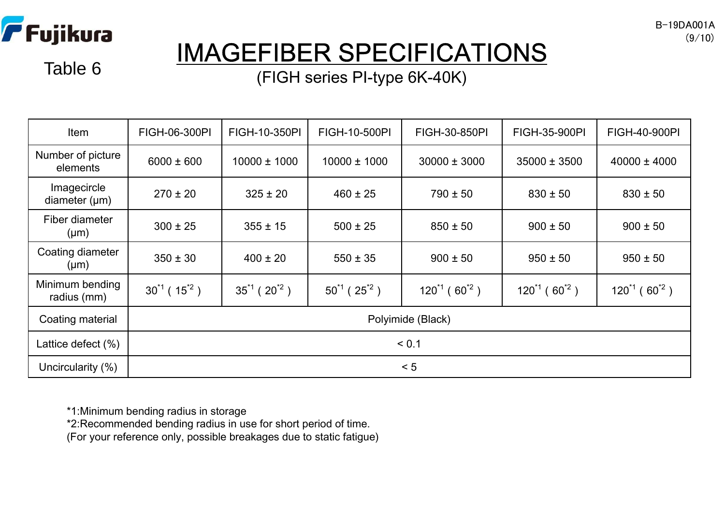

### IMAGEFIBER SPECIFICATIONS

Table 6 **Table 6** (FIGH series PI-type 6K-40K)

| Item                              | FIGH-06-300PI               | FIGH-10-350PI         | FIGH-10-500PI         | FIGH-30-850PI                | FIGH-35-900PI                 | <b>FIGH-40-900PI</b>         |  |  |
|-----------------------------------|-----------------------------|-----------------------|-----------------------|------------------------------|-------------------------------|------------------------------|--|--|
| Number of picture<br>elements     | $6000 \pm 600$              | $10000 \pm 1000$      | $10000 \pm 1000$      | $30000 \pm 3000$             | $35000 \pm 3500$              | $40000 \pm 4000$             |  |  |
| Imagecircle<br>diameter $(\mu m)$ | $270 \pm 20$                | $325 \pm 20$          | $460 \pm 25$          | $790 \pm 50$                 | $830 \pm 50$                  | $830 \pm 50$                 |  |  |
| Fiber diameter<br>$(\mu m)$       | $300 \pm 25$                | $355 \pm 15$          | $500 \pm 25$          | $850 \pm 50$                 | $900 \pm 50$                  | $900 \pm 50$                 |  |  |
| Coating diameter<br>$(\mu m)$     | $350 \pm 30$                | $400 \pm 20$          | $550 \pm 35$          | $900 \pm 50$                 | $950 \pm 50$                  | $950 \pm 50$                 |  |  |
| Minimum bending<br>radius (mm)    | $30^{1}$ (15 <sup>2</sup> ) | $35^{1}$ ( $20^{2}$ ) | $50^{1}$ ( $25^{2}$ ) | $120^{1}$ (60 <sup>2</sup> ) | $120^{1}$ (60 <sup>12</sup> ) | $120^{1}$ (60 <sup>2</sup> ) |  |  |
| Coating material                  | Polyimide (Black)           |                       |                       |                              |                               |                              |  |  |
| Lattice defect (%)                | < 0.1                       |                       |                       |                              |                               |                              |  |  |
| Uncircularity (%)                 |                             |                       |                       | < 5                          |                               |                              |  |  |

\*1:Minimum bending radius in storage

\*2:Recommended bending radius in use for short period of time.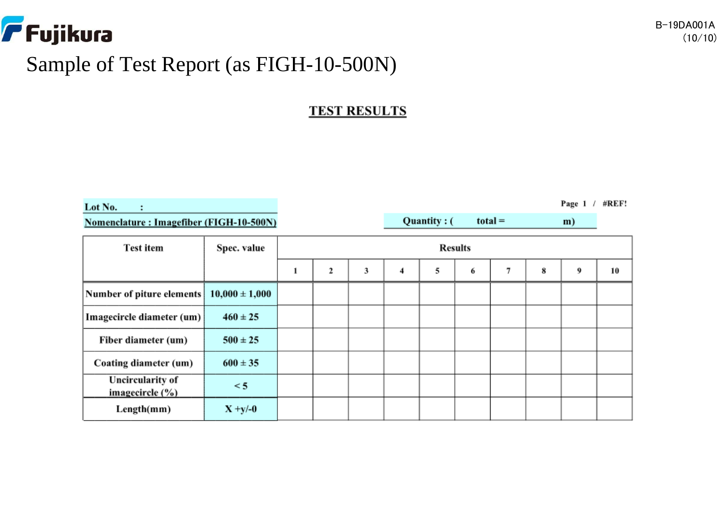

### Sample of Test Report (as FIGH-10-500N)

### **TEST RESULTS**

Quantity: (

 $total =$ 

Lot No.

÷

Nomenclature: Imagefiber (FIGH-10-500N)

| <b>Test item</b>                               | Spec. value        | <b>Results</b> |   |   |   |   |   |   |   |   |    |
|------------------------------------------------|--------------------|----------------|---|---|---|---|---|---|---|---|----|
|                                                |                    | 1              | 2 | 3 | 4 | 5 | 6 | 7 | 8 | 9 | 10 |
| Number of piture elements                      | $10,000 \pm 1,000$ |                |   |   |   |   |   |   |   |   |    |
| Imagecircle diameter (um)                      | $460 \pm 25$       |                |   |   |   |   |   |   |   |   |    |
| Fiber diameter (um)                            | $500 \pm 25$       |                |   |   |   |   |   |   |   |   |    |
| Coating diameter (um)                          | $600 \pm 35$       |                |   |   |   |   |   |   |   |   |    |
| <b>Uncircularity of</b><br>imagecircle $(\% )$ | $\leq$ 5           |                |   |   |   |   |   |   |   |   |    |
| Length(mm)                                     | $X + y/-0$         |                |   |   |   |   |   |   |   |   |    |

Page 1 / #REF!

m)